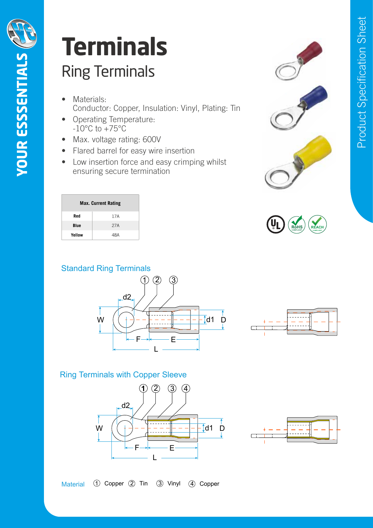d1 D

d1 D

## Ring Terminals Ring Terminals • **Materials:** Conductor: Copper. Insulation: Vinyl.

• **Materials:** Conductor: Copper.

• **Features:** Max. voltage rating: 600V.

®

• **Features:** Max. voltage rating: 600V.

• **Operating Temperature:** -10°C to +75°C.

## Ring Terminals **Terminals Terminals** ® **Terminals Ierminals** • **Materials:** Conductor: Copper.

- Materials: Materials:<br>Conductor: Copper, Insulation: Vinyl, Plating: Tin **Conductor:** Copper, misulation: virigi, i
- Operating Temperature:  $-10^{\circ}$ C to  $+75^{\circ}$ C • **Features:** Max. voltage rating: 600V.
- Max. voltage rating: 600V Insulation: Vinyl.
- Max. voltage rating: 600V<br>• Flared barrel for easy wire insertion
- **Connects** Building secure termination • Low insertion force and easy crimping whilst • **Operating Temperature:** -10°C to +75°C.

Sleeve: Copper tubular

Low insertion force and easy crimping whilst ensuring secure termination.

Low insertion force and easy crimping whilst ensuring secure termination.

| ation: Vinyl, Plating: Tin<br>Product<br>e insertion<br>asy crimping whilst<br>ion |  |          |
|------------------------------------------------------------------------------------|--|----------|
|                                                                                    |  | Specific |
|                                                                                    |  |          |

**DATASHEET**

|        | <b>Max. Current Rating</b> |
|--------|----------------------------|
| Red    | 17A                        |
| Blue   | 27A                        |
| Yellow | 48A                        |



Flared barrel for easy wire insertion. He will be a state of the state of the state of the state of the state o<br>The state of the state of the state of the state of the state of the state of the state of the state of the st

Flared barrel for easy wire insertion.





## **Material** Sleeve: Copper tubular **Ring Terminals with Copper Sleeve** Plating: Tin **Flared barrel for Exception. Proper Sleeve Copper Sleeve**



F

B



 $\mathcal{L}_\text{L}$  is the set of the sleevel  $\mathcal{L}_\text{L}$  is the sleevel  $\mathcal{L}_\text{L}$ 

 $\overline{\mathcal{C}}$  copyright Krimpterm 2021 Date: 22 May 2021  $\overline{\mathcal{C}}$  and 2021  $\overline{\mathcal{C}}$  and 2021  $\overline{\mathcal{C}}$  of 22 May 2021  $\overline{\mathcal{C}}$ 



Blue 15A Yellow 24A

• **Materials:** Conductor: Brass

Tin Vinyl Copper

Copper

**Terminals**

Copper

Vinyl Copper

Insulation: Vinyl. Plating: Tin.

Plating: Tin.